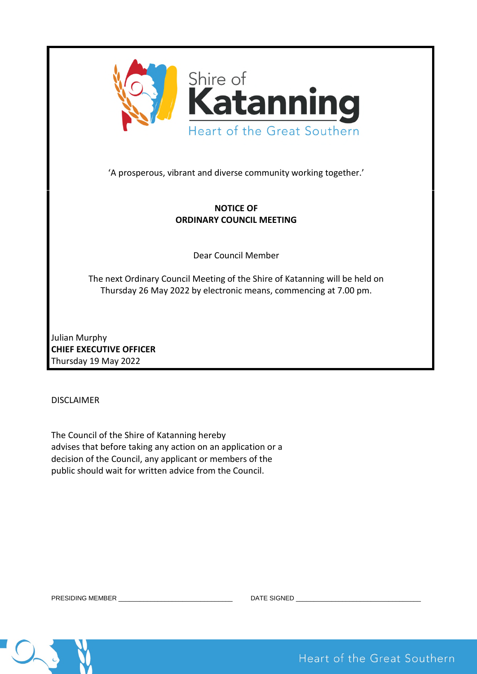

'A prosperous, vibrant and diverse community working together.'

# **NOTICE OF ORDINARY COUNCIL MEETING**

Dear Council Member

The next Ordinary Council Meeting of the Shire of Katanning will be held on Thursday 26 May 2022 by electronic means, commencing at 7.00 pm.

Julian Murphy **CHIEF EXECUTIVE OFFICER**  Thursday 19 May 2022

DISCLAIMER

The Council of the Shire of Katanning hereby advises that before taking any action on an application or a decision of the Council, any applicant or members of the public should wait for written advice from the Council.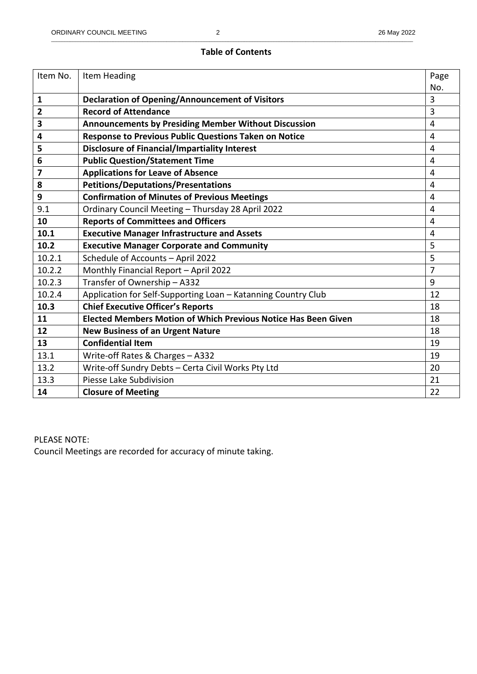## **Table of Contents**

| Item No. | Item Heading                                                          | Page           |
|----------|-----------------------------------------------------------------------|----------------|
|          |                                                                       | No.            |
| 1        | <b>Declaration of Opening/Announcement of Visitors</b>                | 3              |
| 2        | <b>Record of Attendance</b>                                           | $\overline{3}$ |
| 3        | <b>Announcements by Presiding Member Without Discussion</b>           | $\overline{4}$ |
| 4        | Response to Previous Public Questions Taken on Notice                 | $\overline{4}$ |
| 5        | <b>Disclosure of Financial/Impartiality Interest</b>                  | $\overline{4}$ |
| 6        | <b>Public Question/Statement Time</b>                                 | $\overline{4}$ |
| 7        | <b>Applications for Leave of Absence</b>                              | $\overline{4}$ |
| 8        | <b>Petitions/Deputations/Presentations</b>                            | $\overline{4}$ |
| 9        | <b>Confirmation of Minutes of Previous Meetings</b>                   | $\overline{4}$ |
| 9.1      | Ordinary Council Meeting - Thursday 28 April 2022                     | $\overline{4}$ |
| 10       | <b>Reports of Committees and Officers</b>                             | $\overline{4}$ |
| 10.1     | <b>Executive Manager Infrastructure and Assets</b>                    | $\overline{4}$ |
| 10.2     | <b>Executive Manager Corporate and Community</b>                      | 5              |
| 10.2.1   | Schedule of Accounts - April 2022                                     | 5              |
| 10.2.2   | Monthly Financial Report - April 2022                                 | $\overline{7}$ |
| 10.2.3   | Transfer of Ownership - A332                                          | 9              |
| 10.2.4   | Application for Self-Supporting Loan - Katanning Country Club         | 12             |
| 10.3     | <b>Chief Executive Officer's Reports</b>                              | 18             |
| 11       | <b>Elected Members Motion of Which Previous Notice Has Been Given</b> | 18             |
| 12       | <b>New Business of an Urgent Nature</b>                               | 18             |
| 13       | <b>Confidential Item</b>                                              | 19             |
| 13.1     | Write-off Rates & Charges - A332                                      | 19             |
| 13.2     | Write-off Sundry Debts - Certa Civil Works Pty Ltd                    | 20             |
| 13.3     | Piesse Lake Subdivision                                               | 21             |
| 14       | <b>Closure of Meeting</b>                                             | 22             |

PLEASE NOTE: Council Meetings are recorded for accuracy of minute taking.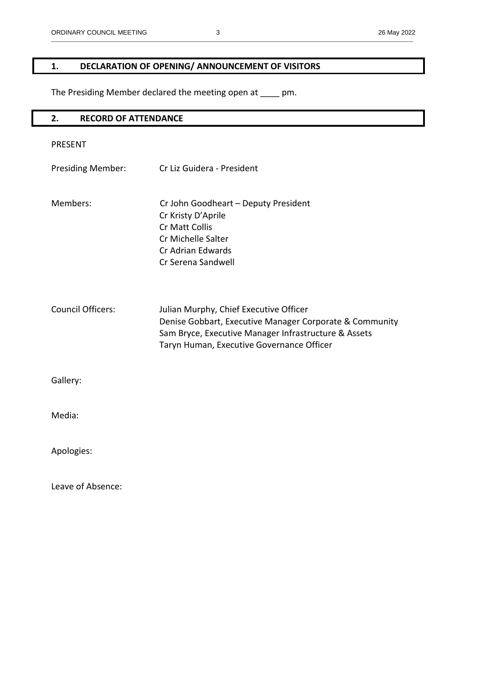# **1. DECLARATION OF OPENING/ ANNOUNCEMENT OF VISITORS**

The Presiding Member declared the meeting open at \_\_\_\_ pm.

| <b>RECORD OF ATTENDANCE</b><br>2. |                                                                                                                                                                                                        |
|-----------------------------------|--------------------------------------------------------------------------------------------------------------------------------------------------------------------------------------------------------|
| <b>PRESENT</b>                    |                                                                                                                                                                                                        |
| <b>Presiding Member:</b>          | Cr Liz Guidera - President                                                                                                                                                                             |
| Members:                          | Cr John Goodheart - Deputy President<br>Cr Kristy D'Aprile<br>Cr Matt Collis<br>Cr Michelle Salter<br>Cr Adrian Edwards<br>Cr Serena Sandwell                                                          |
| <b>Council Officers:</b>          | Julian Murphy, Chief Executive Officer<br>Denise Gobbart, Executive Manager Corporate & Community<br>Sam Bryce, Executive Manager Infrastructure & Assets<br>Taryn Human, Executive Governance Officer |
| Gallery:                          |                                                                                                                                                                                                        |
| Media:                            |                                                                                                                                                                                                        |
| Apologies:                        |                                                                                                                                                                                                        |
| Leave of Absence:                 |                                                                                                                                                                                                        |

\_\_\_\_\_\_\_\_\_\_\_\_\_\_\_\_\_\_\_\_\_\_\_\_\_\_\_\_\_\_\_\_\_\_\_\_\_\_\_\_\_\_\_\_\_\_\_\_\_\_\_\_\_\_\_\_\_\_\_\_\_\_\_\_\_\_\_\_\_\_\_\_\_\_\_\_\_\_\_\_\_\_\_\_\_\_\_\_\_\_\_\_\_\_\_\_\_\_\_\_\_\_\_\_\_\_\_\_\_\_\_\_\_\_\_\_\_\_\_\_\_\_\_\_\_\_\_\_\_\_\_\_\_\_\_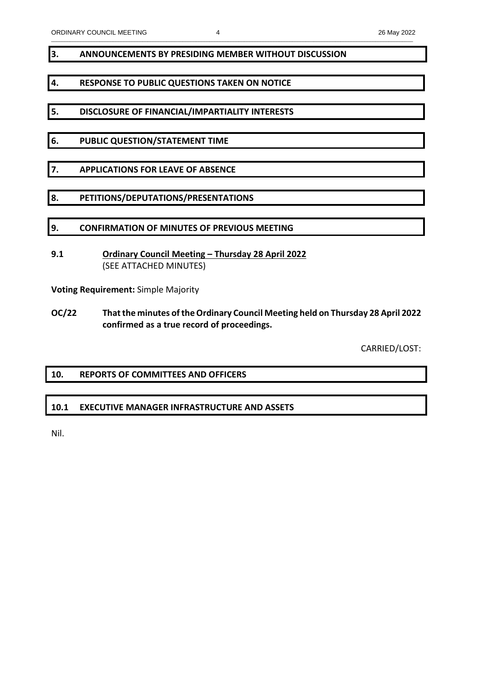## **3. ANNOUNCEMENTS BY PRESIDING MEMBER WITHOUT DISCUSSION**

## **4. RESPONSE TO PUBLIC QUESTIONS TAKEN ON NOTICE**

- **5. DISCLOSURE OF FINANCIAL/IMPARTIALITY INTERESTS**
- **6. PUBLIC QUESTION/STATEMENT TIME**
- **7. APPLICATIONS FOR LEAVE OF ABSENCE**
- **8. PETITIONS/DEPUTATIONS/PRESENTATIONS**
- **9. CONFIRMATION OF MINUTES OF PREVIOUS MEETING**
- **9.1 Ordinary Council Meeting Thursday 28 April 2022** (SEE ATTACHED MINUTES)

**Voting Requirement:** Simple Majority

**OC/22 That the minutes of the Ordinary Council Meeting held on Thursday 28 April 2022 confirmed as a true record of proceedings.** 

CARRIED/LOST:

## **10. REPORTS OF COMMITTEES AND OFFICERS**

## **10.1 EXECUTIVE MANAGER INFRASTRUCTURE AND ASSETS**

Nil.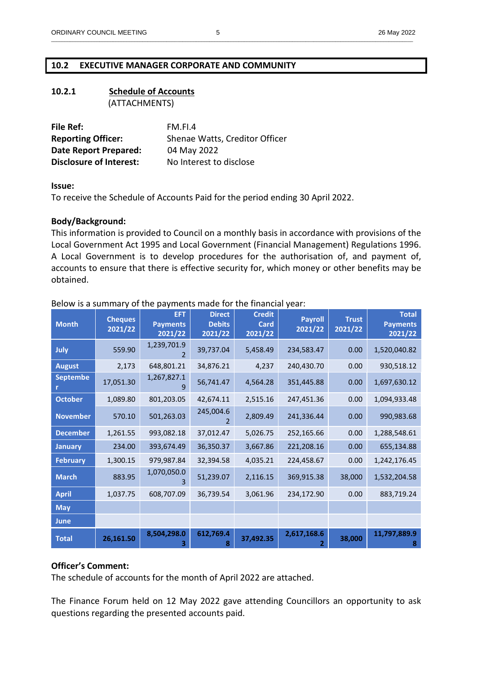## **10.2 EXECUTIVE MANAGER CORPORATE AND COMMUNITY**

## **10.2.1 Schedule of Accounts**  (ATTACHMENTS)

| File Ref:                      | FM.FL4                         |
|--------------------------------|--------------------------------|
| <b>Reporting Officer:</b>      | Shenae Watts, Creditor Officer |
| <b>Date Report Prepared:</b>   | 04 May 2022                    |
| <b>Disclosure of Interest:</b> | No Interest to disclose        |

**Issue:** 

To receive the Schedule of Accounts Paid for the period ending 30 April 2022.

## **Body/Background:**

This information is provided to Council on a monthly basis in accordance with provisions of the Local Government Act 1995 and Local Government (Financial Management) Regulations 1996. A Local Government is to develop procedures for the authorisation of, and payment of, accounts to ensure that there is effective security for, which money or other benefits may be obtained.

| <b>Month</b>         | <b>Cheques</b><br>2021/22 | <b>EFT</b><br><b>Payments</b><br>2021/22 | <b>Direct</b><br><b>Debits</b><br>2021/22 | <b>Credit</b><br>Card<br>2021/22 | <b>Payroll</b><br>2021/22 | <b>Trust</b><br>2021/22 | <b>Total</b><br><b>Payments</b><br>2021/22 |
|----------------------|---------------------------|------------------------------------------|-------------------------------------------|----------------------------------|---------------------------|-------------------------|--------------------------------------------|
| July                 | 559.90                    | 1,239,701.9                              | 39,737.04                                 | 5,458.49                         | 234,583.47                | 0.00                    | 1,520,040.82                               |
| <b>August</b>        | 2,173                     | 648,801.21                               | 34,876.21                                 | 4,237                            | 240,430.70                | 0.00                    | 930,518.12                                 |
| <b>Septembe</b><br>r | 17,051.30                 | 1,267,827.1                              | 56,741.47                                 | 4,564.28                         | 351,445.88                | 0.00                    | 1,697,630.12                               |
| <b>October</b>       | 1,089.80                  | 801,203.05                               | 42,674.11                                 | 2,515.16                         | 247,451.36                | 0.00                    | 1,094,933.48                               |
| <b>November</b>      | 570.10                    | 501,263.03                               | 245,004.6                                 | 2,809.49                         | 241,336.44                | 0.00                    | 990,983.68                                 |
| <b>December</b>      | 1,261.55                  | 993,082.18                               | 37,012.47                                 | 5,026.75                         | 252,165.66                | 0.00                    | 1,288,548.61                               |
| <b>January</b>       | 234.00                    | 393,674.49                               | 36,350.37                                 | 3,667.86                         | 221,208.16                | 0.00                    | 655,134.88                                 |
| <b>February</b>      | 1,300.15                  | 979,987.84                               | 32,394.58                                 | 4,035.21                         | 224,458.67                | 0.00                    | 1,242,176.45                               |
| <b>March</b>         | 883.95                    | 1,070,050.0                              | 51,239.07                                 | 2,116.15                         | 369,915.38                | 38,000                  | 1,532,204.58                               |
| <b>April</b>         | 1,037.75                  | 608,707.09                               | 36,739.54                                 | 3,061.96                         | 234,172.90                | 0.00                    | 883,719.24                                 |
| <b>May</b>           |                           |                                          |                                           |                                  |                           |                         |                                            |
| <b>June</b>          |                           |                                          |                                           |                                  |                           |                         |                                            |
| <b>Total</b>         | 26,161.50                 | 8,504,298.0                              | 612,769.4                                 | 37,492.35                        | 2,617,168.6               | 38,000                  | 11,797,889.9<br>8                          |

Below is a summary of the payments made for the financial year:

## **Officer's Comment:**

The schedule of accounts for the month of April 2022 are attached.

The Finance Forum held on 12 May 2022 gave attending Councillors an opportunity to ask questions regarding the presented accounts paid.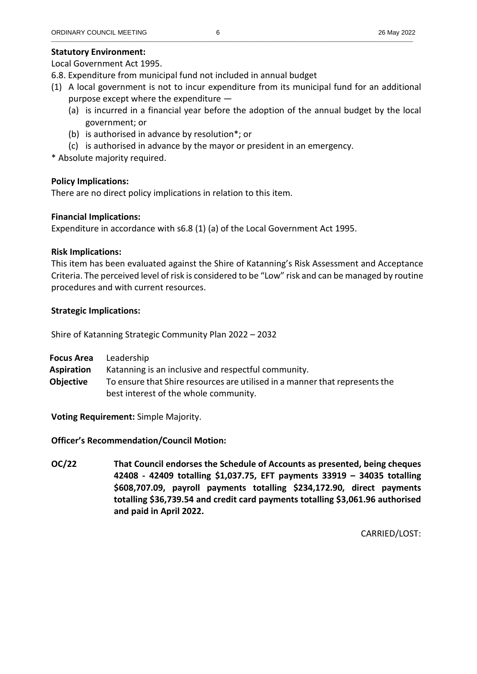## **Statutory Environment:**

Local Government Act 1995.

- 6.8. Expenditure from municipal fund not included in annual budget
- (1) A local government is not to incur expenditure from its municipal fund for an additional purpose except where the expenditure —
	- (a) is incurred in a financial year before the adoption of the annual budget by the local government; or
	- (b) is authorised in advance by resolution\*; or
	- (c) is authorised in advance by the mayor or president in an emergency.

\* Absolute majority required.

## **Policy Implications:**

There are no direct policy implications in relation to this item.

## **Financial Implications:**

Expenditure in accordance with s6.8 (1) (a) of the Local Government Act 1995.

## **Risk Implications:**

This item has been evaluated against the Shire of Katanning's Risk Assessment and Acceptance Criteria. The perceived level of risk is considered to be "Low" risk and can be managed by routine procedures and with current resources.

## **Strategic Implications:**

Shire of Katanning Strategic Community Plan 2022 – 2032

|                   | <b>Focus Area</b> Leadership                                                |
|-------------------|-----------------------------------------------------------------------------|
| <b>Aspiration</b> | Katanning is an inclusive and respectful community.                         |
| Objective         | To ensure that Shire resources are utilised in a manner that represents the |
|                   | best interest of the whole community.                                       |

**Voting Requirement:** Simple Majority.

## **Officer's Recommendation/Council Motion:**

**OC/22 That Council endorses the Schedule of Accounts as presented, being cheques 42408 - 42409 totalling \$1,037.75, EFT payments 33919 – 34035 totalling \$608,707.09, payroll payments totalling \$234,172.90, direct payments totalling \$36,739.54 and credit card payments totalling \$3,061.96 authorised and paid in April 2022.**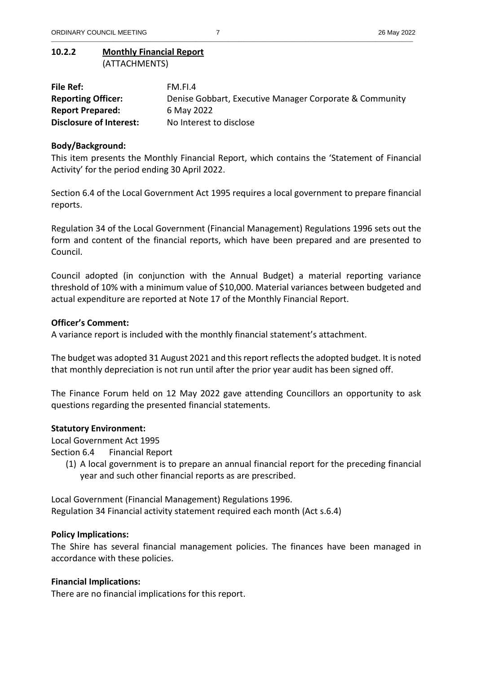## **10.2.2 Monthly Financial Report**  (ATTACHMENTS)

| File Ref:                      | FM.FI.4                                                 |
|--------------------------------|---------------------------------------------------------|
| <b>Reporting Officer:</b>      | Denise Gobbart, Executive Manager Corporate & Community |
| <b>Report Prepared:</b>        | 6 May 2022                                              |
| <b>Disclosure of Interest:</b> | No Interest to disclose                                 |

\_\_\_\_\_\_\_\_\_\_\_\_\_\_\_\_\_\_\_\_\_\_\_\_\_\_\_\_\_\_\_\_\_\_\_\_\_\_\_\_\_\_\_\_\_\_\_\_\_\_\_\_\_\_\_\_\_\_\_\_\_\_\_\_\_\_\_\_\_\_\_\_\_\_\_\_\_\_\_\_\_\_\_\_\_\_\_\_\_\_\_\_\_\_\_\_\_\_\_\_\_\_\_\_\_\_\_\_\_\_\_\_\_\_\_\_\_\_\_\_\_\_\_\_\_\_\_\_\_\_\_\_\_\_\_

## **Body/Background:**

This item presents the Monthly Financial Report, which contains the 'Statement of Financial Activity' for the period ending 30 April 2022.

Section 6.4 of the Local Government Act 1995 requires a local government to prepare financial reports.

Regulation 34 of the Local Government (Financial Management) Regulations 1996 sets out the form and content of the financial reports, which have been prepared and are presented to Council.

Council adopted (in conjunction with the Annual Budget) a material reporting variance threshold of 10% with a minimum value of \$10,000. Material variances between budgeted and actual expenditure are reported at Note 17 of the Monthly Financial Report.

## **Officer's Comment:**

A variance report is included with the monthly financial statement's attachment.

The budget was adopted 31 August 2021 and this report reflects the adopted budget. It is noted that monthly depreciation is not run until after the prior year audit has been signed off.

The Finance Forum held on 12 May 2022 gave attending Councillors an opportunity to ask questions regarding the presented financial statements.

## **Statutory Environment:**

Local Government Act 1995

Section 6.4 Financial Report

(1) A local government is to prepare an annual financial report for the preceding financial year and such other financial reports as are prescribed.

Local Government (Financial Management) Regulations 1996. Regulation 34 Financial activity statement required each month (Act s.6.4)

## **Policy Implications:**

The Shire has several financial management policies. The finances have been managed in accordance with these policies.

## **Financial Implications:**

There are no financial implications for this report.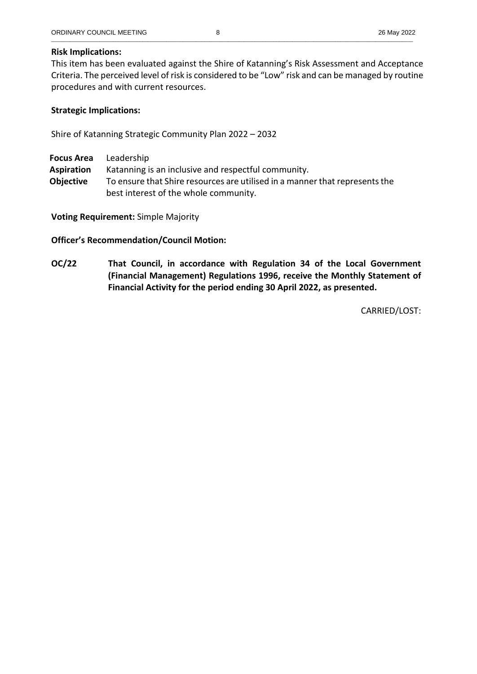# **Risk Implications:**

This item has been evaluated against the Shire of Katanning's Risk Assessment and Acceptance Criteria. The perceived level of risk is considered to be "Low" risk and can be managed by routine procedures and with current resources.

## **Strategic Implications:**

Shire of Katanning Strategic Community Plan 2022 – 2032

**Focus Area** Leadership **Aspiration** Katanning is an inclusive and respectful community. **Objective** To ensure that Shire resources are utilised in a manner that represents the

best interest of the whole community.

**Voting Requirement:** Simple Majority

**Officer's Recommendation/Council Motion:** 

**OC/22 That Council, in accordance with Regulation 34 of the Local Government (Financial Management) Regulations 1996, receive the Monthly Statement of Financial Activity for the period ending 30 April 2022, as presented.**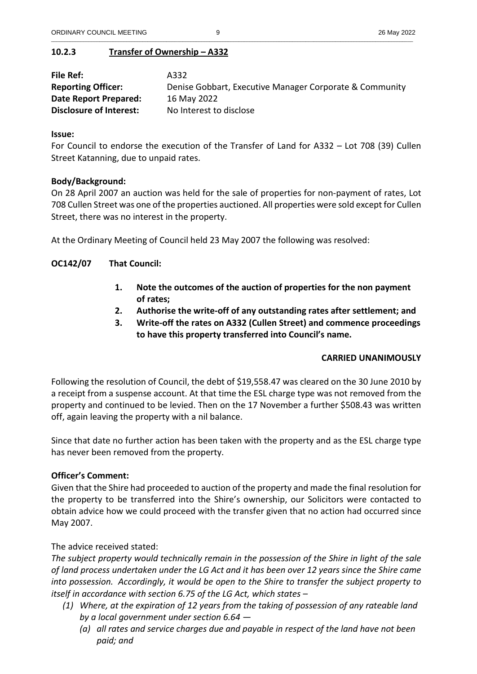# **10.2.3 Transfer of Ownership – A332**

| File Ref:                      | A332                                                    |
|--------------------------------|---------------------------------------------------------|
| <b>Reporting Officer:</b>      | Denise Gobbart, Executive Manager Corporate & Community |
| Date Report Prepared:          | 16 May 2022                                             |
| <b>Disclosure of Interest:</b> | No Interest to disclose                                 |

## **Issue:**

For Council to endorse the execution of the Transfer of Land for A332 – Lot 708 (39) Cullen Street Katanning, due to unpaid rates.

## **Body/Background:**

On 28 April 2007 an auction was held for the sale of properties for non-payment of rates, Lot 708 Cullen Street was one of the properties auctioned. All properties were sold except for Cullen Street, there was no interest in the property.

At the Ordinary Meeting of Council held 23 May 2007 the following was resolved:

**OC142/07 That Council:** 

- **1. Note the outcomes of the auction of properties for the non payment of rates;**
- **2. Authorise the write-off of any outstanding rates after settlement; and**
- **3. Write-off the rates on A332 (Cullen Street) and commence proceedings to have this property transferred into Council's name.**

## **CARRIED UNANIMOUSLY**

Following the resolution of Council, the debt of \$19,558.47 was cleared on the 30 June 2010 by a receipt from a suspense account. At that time the ESL charge type was not removed from the property and continued to be levied. Then on the 17 November a further \$508.43 was written off, again leaving the property with a nil balance.

Since that date no further action has been taken with the property and as the ESL charge type has never been removed from the property.

## **Officer's Comment:**

Given that the Shire had proceeded to auction of the property and made the final resolution for the property to be transferred into the Shire's ownership, our Solicitors were contacted to obtain advice how we could proceed with the transfer given that no action had occurred since May 2007.

## The advice received stated:

*The subject property would technically remain in the possession of the Shire in light of the sale of land process undertaken under the LG Act and it has been over 12 years since the Shire came into possession. Accordingly, it would be open to the Shire to transfer the subject property to itself in accordance with section 6.75 of the LG Act, which states –* 

- *(1) Where, at the expiration of 12 years from the taking of possession of any rateable land by a local government under section 6.64 —* 
	- *(a) all rates and service charges due and payable in respect of the land have not been paid; and*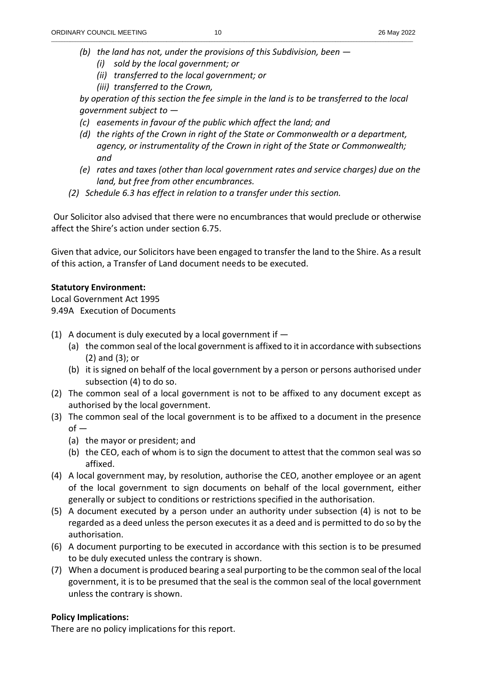- *(b) the land has not, under the provisions of this Subdivision, been* 
	- *(i) sold by the local government; or*
	- *(ii) transferred to the local government; or*
	- *(iii) transferred to the Crown,*

*by operation of this section the fee simple in the land is to be transferred to the local government subject to —* 

- *(c) easements in favour of the public which affect the land; and*
- *(d) the rights of the Crown in right of the State or Commonwealth or a department, agency, or instrumentality of the Crown in right of the State or Commonwealth; and*
- *(e) rates and taxes (other than local government rates and service charges) due on the land, but free from other encumbrances.*
- *(2) Schedule 6.3 has effect in relation to a transfer under this section.*

 Our Solicitor also advised that there were no encumbrances that would preclude or otherwise affect the Shire's action under section 6.75.

Given that advice, our Solicitors have been engaged to transfer the land to the Shire. As a result of this action, a Transfer of Land document needs to be executed.

# **Statutory Environment:**

Local Government Act 1995 9.49A Execution of Documents

- (1) A document is duly executed by a local government if  $-$ 
	- (a) the common seal of the local government is affixed to it in accordance with subsections (2) and (3); or
	- (b) it is signed on behalf of the local government by a person or persons authorised under subsection (4) to do so.
- (2) The common seal of a local government is not to be affixed to any document except as authorised by the local government.
- (3) The common seal of the local government is to be affixed to a document in the presence  $of -$ 
	- (a) the mayor or president; and
	- (b) the CEO, each of whom is to sign the document to attest that the common seal was so affixed.
- (4) A local government may, by resolution, authorise the CEO, another employee or an agent of the local government to sign documents on behalf of the local government, either generally or subject to conditions or restrictions specified in the authorisation.
- (5) A document executed by a person under an authority under subsection (4) is not to be regarded as a deed unless the person executes it as a deed and is permitted to do so by the authorisation.
- (6) A document purporting to be executed in accordance with this section is to be presumed to be duly executed unless the contrary is shown.
- (7) When a document is produced bearing a seal purporting to be the common seal of the local government, it is to be presumed that the seal is the common seal of the local government unless the contrary is shown.

# **Policy Implications:**

There are no policy implications for this report.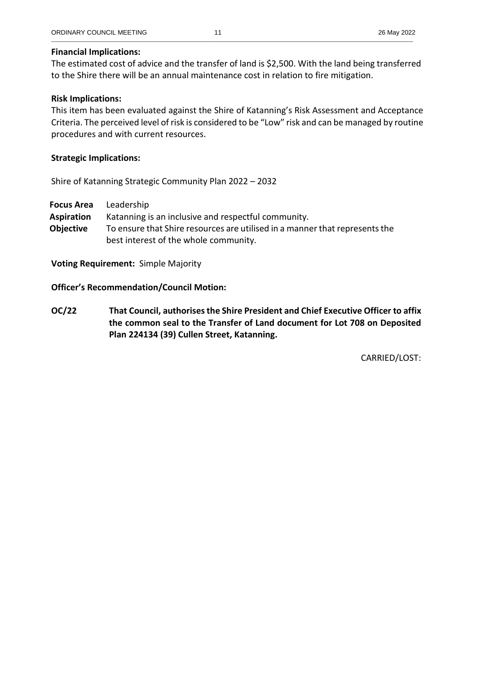#### **Financial Implications:**

The estimated cost of advice and the transfer of land is \$2,500. With the land being transferred to the Shire there will be an annual maintenance cost in relation to fire mitigation.

\_\_\_\_\_\_\_\_\_\_\_\_\_\_\_\_\_\_\_\_\_\_\_\_\_\_\_\_\_\_\_\_\_\_\_\_\_\_\_\_\_\_\_\_\_\_\_\_\_\_\_\_\_\_\_\_\_\_\_\_\_\_\_\_\_\_\_\_\_\_\_\_\_\_\_\_\_\_\_\_\_\_\_\_\_\_\_\_\_\_\_\_\_\_\_\_\_\_\_\_\_\_\_\_\_\_\_\_\_\_\_\_\_\_\_\_\_\_\_\_\_\_\_\_\_\_\_\_\_\_\_\_\_\_\_

#### **Risk Implications:**

This item has been evaluated against the Shire of Katanning's Risk Assessment and Acceptance Criteria. The perceived level of risk is considered to be "Low" risk and can be managed by routine procedures and with current resources.

#### **Strategic Implications:**

Shire of Katanning Strategic Community Plan 2022 – 2032

**Focus Area** Leadership **Aspiration** Katanning is an inclusive and respectful community. **Objective** To ensure that Shire resources are utilised in a manner that represents the best interest of the whole community.

**Voting Requirement:** Simple Majority

**Officer's Recommendation/Council Motion:** 

**OC/22 That Council, authorises the Shire President and Chief Executive Officer to affix the common seal to the Transfer of Land document for Lot 708 on Deposited Plan 224134 (39) Cullen Street, Katanning.**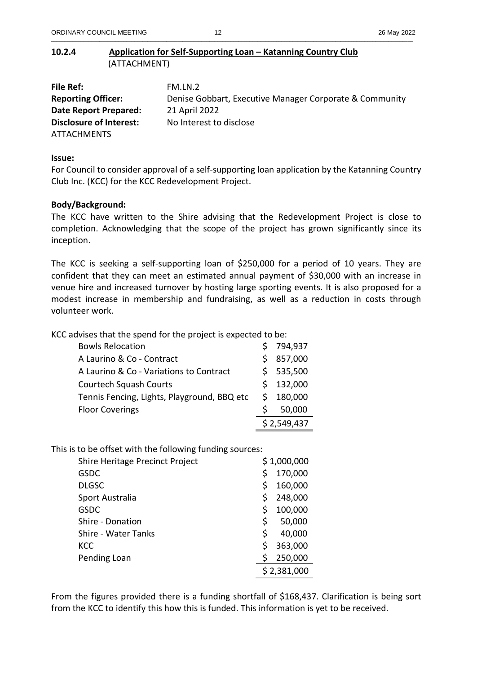# **10.2.4 Application for Self-Supporting Loan – Katanning Country Club**  (ATTACHMENT)

| File Ref:                      | FM.LN.2                                                 |
|--------------------------------|---------------------------------------------------------|
| <b>Reporting Officer:</b>      | Denise Gobbart, Executive Manager Corporate & Community |
| Date Report Prepared:          | 21 April 2022                                           |
| <b>Disclosure of Interest:</b> | No Interest to disclose                                 |
| <b>ATTACHMENTS</b>             |                                                         |

\_\_\_\_\_\_\_\_\_\_\_\_\_\_\_\_\_\_\_\_\_\_\_\_\_\_\_\_\_\_\_\_\_\_\_\_\_\_\_\_\_\_\_\_\_\_\_\_\_\_\_\_\_\_\_\_\_\_\_\_\_\_\_\_\_\_\_\_\_\_\_\_\_\_\_\_\_\_\_\_\_\_\_\_\_\_\_\_\_\_\_\_\_\_\_\_\_\_\_\_\_\_\_\_\_\_\_\_\_\_\_\_\_\_\_\_\_\_\_\_\_\_\_\_\_\_\_\_\_\_\_\_\_\_\_

#### **Issue:**

For Council to consider approval of a self-supporting loan application by the Katanning Country Club Inc. (KCC) for the KCC Redevelopment Project.

## **Body/Background:**

The KCC have written to the Shire advising that the Redevelopment Project is close to completion. Acknowledging that the scope of the project has grown significantly since its inception.

The KCC is seeking a self-supporting loan of \$250,000 for a period of 10 years. They are confident that they can meet an estimated annual payment of \$30,000 with an increase in venue hire and increased turnover by hosting large sporting events. It is also proposed for a modest increase in membership and fundraising, as well as a reduction in costs through volunteer work.

KCC advises that the spend for the project is expected to be:

| <b>Bowls Relocation</b>                     |    | 794,937     |
|---------------------------------------------|----|-------------|
| A Laurino & Co - Contract                   |    | 857,000     |
| A Laurino & Co - Variations to Contract     |    | \$535,500   |
| <b>Courtech Squash Courts</b>               |    | \$132,000   |
| Tennis Fencing, Lights, Playground, BBQ etc | S. | 180,000     |
| <b>Floor Coverings</b>                      | S  | 50,000      |
|                                             |    | \$2,549,437 |

This is to be offset with the following funding sources:

| Shire Heritage Precinct Project |    | \$1,000,000 |
|---------------------------------|----|-------------|
| <b>GSDC</b>                     | \$ | 170,000     |
| <b>DLGSC</b>                    | S  | 160,000     |
| Sport Australia                 | Ś  | 248,000     |
| <b>GSDC</b>                     | \$ | 100,000     |
| Shire - Donation                | \$ | 50,000      |
| <b>Shire - Water Tanks</b>      | \$ | 40,000      |
| <b>KCC</b>                      | Ś  | 363,000     |
| Pending Loan                    | \$ | 250,000     |
|                                 |    | \$2,381,000 |

From the figures provided there is a funding shortfall of \$168,437. Clarification is being sort from the KCC to identify this how this is funded. This information is yet to be received.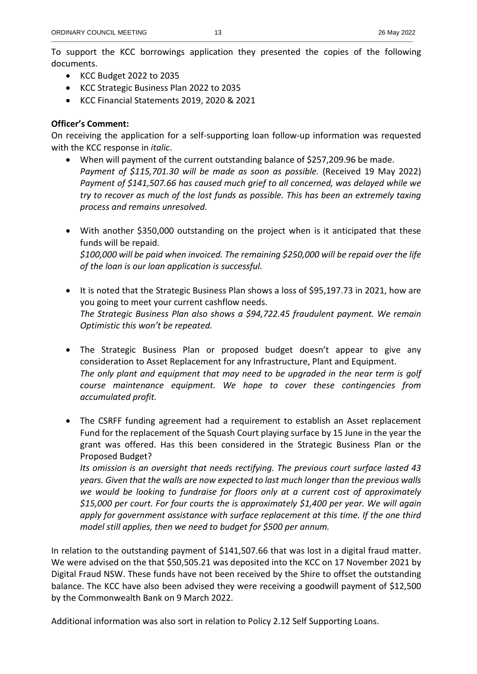To support the KCC borrowings application they presented the copies of the following documents.

- KCC Budget 2022 to 2035
- KCC Strategic Business Plan 2022 to 2035
- KCC Financial Statements 2019, 2020 & 2021

## **Officer's Comment:**

On receiving the application for a self-supporting loan follow-up information was requested with the KCC response in *italic*.

- When will payment of the current outstanding balance of \$257,209.96 be made. Payment of \$115,701.30 will be made as soon as possible. (Received 19 May 2022) *Payment of \$141,507.66 has caused much grief to all concerned, was delayed while we try to recover as much of the lost funds as possible. This has been an extremely taxing process and remains unresolved.*
- With another \$350,000 outstanding on the project when is it anticipated that these funds will be repaid. *\$100,000 will be paid when invoiced. The remaining \$250,000 will be repaid over the life of the loan is our loan application is successful.*
- It is noted that the Strategic Business Plan shows a loss of \$95,197.73 in 2021, how are you going to meet your current cashflow needs. *The Strategic Business Plan also shows a \$94,722.45 fraudulent payment. We remain Optimistic this won't be repeated.*
- The Strategic Business Plan or proposed budget doesn't appear to give any consideration to Asset Replacement for any Infrastructure, Plant and Equipment. *The only plant and equipment that may need to be upgraded in the near term is golf course maintenance equipment. We hope to cover these contingencies from accumulated profit.*
- The CSRFF funding agreement had a requirement to establish an Asset replacement Fund for the replacement of the Squash Court playing surface by 15 June in the year the grant was offered. Has this been considered in the Strategic Business Plan or the Proposed Budget?

*Its omission is an oversight that needs rectifying. The previous court surface lasted 43 years. Given that the walls are now expected to last much longer than the previous walls we would be looking to fundraise for floors only at a current cost of approximately \$15,000 per court. For four courts the is approximately \$1,400 per year. We will again apply for government assistance with surface replacement at this time. If the one third model still applies, then we need to budget for \$500 per annum.* 

In relation to the outstanding payment of \$141,507.66 that was lost in a digital fraud matter. We were advised on the that \$50,505.21 was deposited into the KCC on 17 November 2021 by Digital Fraud NSW. These funds have not been received by the Shire to offset the outstanding balance. The KCC have also been advised they were receiving a goodwill payment of \$12,500 by the Commonwealth Bank on 9 March 2022.

Additional information was also sort in relation to Policy 2.12 Self Supporting Loans.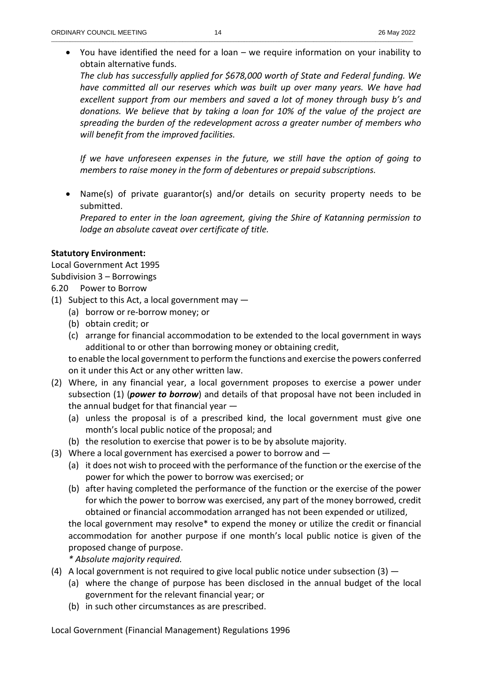You have identified the need for a loan – we require information on your inability to obtain alternative funds.

*The club has successfully applied for \$678,000 worth of State and Federal funding. We have committed all our reserves which was built up over many years. We have had excellent support from our members and saved a lot of money through busy b's and donations. We believe that by taking a loan for 10% of the value of the project are spreading the burden of the redevelopment across a greater number of members who will benefit from the improved facilities.* 

*If we have unforeseen expenses in the future, we still have the option of going to members to raise money in the form of debentures or prepaid subscriptions.* 

 Name(s) of private guarantor(s) and/or details on security property needs to be submitted.

*Prepared to enter in the loan agreement, giving the Shire of Katanning permission to lodge an absolute caveat over certificate of title.* 

## **Statutory Environment:**

Local Government Act 1995 Subdivision 3 – Borrowings

## 6.20 Power to Borrow

- (1) Subject to this Act, a local government may  $-$ 
	- (a) borrow or re-borrow money; or
	- (b) obtain credit; or
	- (c) arrange for financial accommodation to be extended to the local government in ways additional to or other than borrowing money or obtaining credit,

to enable the local government to perform the functions and exercise the powers conferred on it under this Act or any other written law.

- (2) Where, in any financial year, a local government proposes to exercise a power under subsection (1) (*power to borrow*) and details of that proposal have not been included in the annual budget for that financial year —
	- (a) unless the proposal is of a prescribed kind, the local government must give one month's local public notice of the proposal; and
	- (b) the resolution to exercise that power is to be by absolute majority.
- (3) Where a local government has exercised a power to borrow and  $-$ 
	- (a) it does not wish to proceed with the performance of the function or the exercise of the power for which the power to borrow was exercised; or
	- (b) after having completed the performance of the function or the exercise of the power for which the power to borrow was exercised, any part of the money borrowed, credit obtained or financial accommodation arranged has not been expended or utilized,

the local government may resolve\* to expend the money or utilize the credit or financial accommodation for another purpose if one month's local public notice is given of the proposed change of purpose.

*\* Absolute majority required.* 

- (4) A local government is not required to give local public notice under subsection  $(3)$ 
	- (a) where the change of purpose has been disclosed in the annual budget of the local government for the relevant financial year; or
	- (b) in such other circumstances as are prescribed.

Local Government (Financial Management) Regulations 1996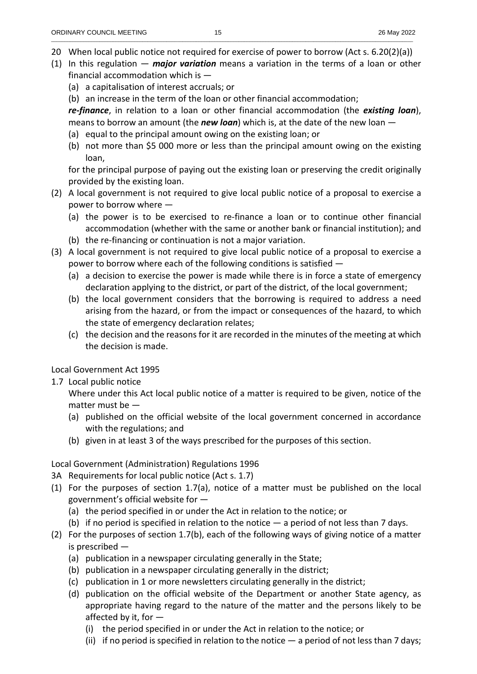- 20 When local public notice not required for exercise of power to borrow (Act s. 6.20(2)(a))
- (1) In this regulation *major variation* means a variation in the terms of a loan or other financial accommodation which is —
	- (a) a capitalisation of interest accruals; or
	- (b) an increase in the term of the loan or other financial accommodation;

*re-finance*, in relation to a loan or other financial accommodation (the *existing loan*), means to borrow an amount (the *new loan*) which is, at the date of the new loan —

- (a) equal to the principal amount owing on the existing loan; or
- (b) not more than \$5 000 more or less than the principal amount owing on the existing loan,

for the principal purpose of paying out the existing loan or preserving the credit originally provided by the existing loan.

- (2) A local government is not required to give local public notice of a proposal to exercise a power to borrow where —
	- (a) the power is to be exercised to re-finance a loan or to continue other financial accommodation (whether with the same or another bank or financial institution); and
	- (b) the re-financing or continuation is not a major variation.
- (3) A local government is not required to give local public notice of a proposal to exercise a power to borrow where each of the following conditions is satisfied —
	- (a) a decision to exercise the power is made while there is in force a state of emergency declaration applying to the district, or part of the district, of the local government;
	- (b) the local government considers that the borrowing is required to address a need arising from the hazard, or from the impact or consequences of the hazard, to which the state of emergency declaration relates;
	- (c) the decision and the reasons for it are recorded in the minutes of the meeting at which the decision is made.

# Local Government Act 1995

1.7 Local public notice

Where under this Act local public notice of a matter is required to be given, notice of the matter must be —

- (a) published on the official website of the local government concerned in accordance with the regulations; and
- (b) given in at least 3 of the ways prescribed for the purposes of this section.

# Local Government (Administration) Regulations 1996

- 3A Requirements for local public notice (Act s. 1.7)
- (1) For the purposes of section 1.7(a), notice of a matter must be published on the local government's official website for —
	- (a) the period specified in or under the Act in relation to the notice; or
	- (b) if no period is specified in relation to the notice  $-$  a period of not less than 7 days.
- (2) For the purposes of section 1.7(b), each of the following ways of giving notice of a matter is prescribed —
	- (a) publication in a newspaper circulating generally in the State;
	- (b) publication in a newspaper circulating generally in the district;
	- (c) publication in 1 or more newsletters circulating generally in the district;
	- (d) publication on the official website of the Department or another State agency, as appropriate having regard to the nature of the matter and the persons likely to be affected by it, for —
		- (i) the period specified in or under the Act in relation to the notice; or
		- (ii) if no period is specified in relation to the notice a period of not less than 7 days;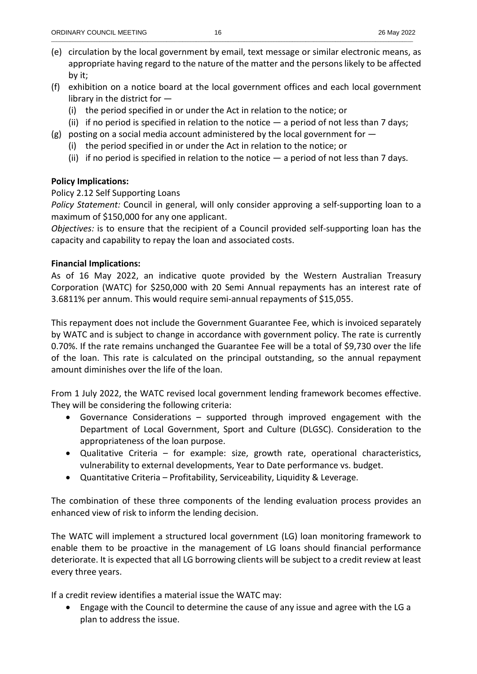- (e) circulation by the local government by email, text message or similar electronic means, as appropriate having regard to the nature of the matter and the persons likely to be affected by it;
- (f) exhibition on a notice board at the local government offices and each local government library in the district for —
	- (i) the period specified in or under the Act in relation to the notice; or
	- (ii) if no period is specified in relation to the notice  $-$  a period of not less than 7 days;
- (g) posting on a social media account administered by the local government for  $-$ 
	- (i) the period specified in or under the Act in relation to the notice; or
	- (ii) if no period is specified in relation to the notice  $-$  a period of not less than 7 days.

## **Policy Implications:**

## Policy 2.12 Self Supporting Loans

*Policy Statement:* Council in general, will only consider approving a self-supporting loan to a maximum of \$150,000 for any one applicant.

*Objectives:* is to ensure that the recipient of a Council provided self-supporting loan has the capacity and capability to repay the loan and associated costs.

## **Financial Implications:**

As of 16 May 2022, an indicative quote provided by the Western Australian Treasury Corporation (WATC) for \$250,000 with 20 Semi Annual repayments has an interest rate of 3.6811% per annum. This would require semi-annual repayments of \$15,055.

This repayment does not include the Government Guarantee Fee, which is invoiced separately by WATC and is subject to change in accordance with government policy. The rate is currently 0.70%. If the rate remains unchanged the Guarantee Fee will be a total of \$9,730 over the life of the loan. This rate is calculated on the principal outstanding, so the annual repayment amount diminishes over the life of the loan.

From 1 July 2022, the WATC revised local government lending framework becomes effective. They will be considering the following criteria:

- Governance Considerations supported through improved engagement with the Department of Local Government, Sport and Culture (DLGSC). Consideration to the appropriateness of the loan purpose.
- Qualitative Criteria for example: size, growth rate, operational characteristics, vulnerability to external developments, Year to Date performance vs. budget.
- Quantitative Criteria Profitability, Serviceability, Liquidity & Leverage.

The combination of these three components of the lending evaluation process provides an enhanced view of risk to inform the lending decision.

The WATC will implement a structured local government (LG) loan monitoring framework to enable them to be proactive in the management of LG loans should financial performance deteriorate. It is expected that all LG borrowing clients will be subject to a credit review at least every three years.

If a credit review identifies a material issue the WATC may:

 Engage with the Council to determine the cause of any issue and agree with the LG a plan to address the issue.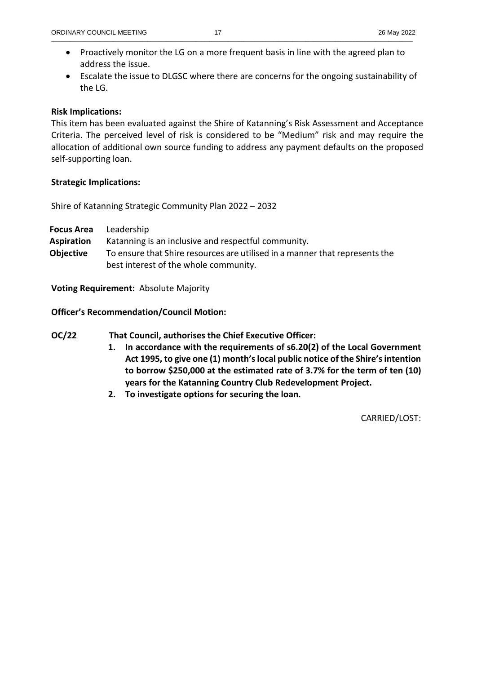- Proactively monitor the LG on a more frequent basis in line with the agreed plan to address the issue.
- Escalate the issue to DLGSC where there are concerns for the ongoing sustainability of the LG.

# **Risk Implications:**

This item has been evaluated against the Shire of Katanning's Risk Assessment and Acceptance Criteria. The perceived level of risk is considered to be "Medium" risk and may require the allocation of additional own source funding to address any payment defaults on the proposed self-supporting loan.

# **Strategic Implications:**

Shire of Katanning Strategic Community Plan 2022 – 2032

**Focus Area** Leadership

**Aspiration** Katanning is an inclusive and respectful community. **Objective** To ensure that Shire resources are utilised in a manner that represents the best interest of the whole community.

**Voting Requirement:** Absolute Majority

**Officer's Recommendation/Council Motion:** 

**OC/22 That Council, authorises the Chief Executive Officer:** 

- **1. In accordance with the requirements of s6.20(2) of the Local Government Act 1995, to give one (1) month's local public notice of the Shire's intention to borrow \$250,000 at the estimated rate of 3.7% for the term of ten (10) years for the Katanning Country Club Redevelopment Project.**
- **2. To investigate options for securing the loan***.*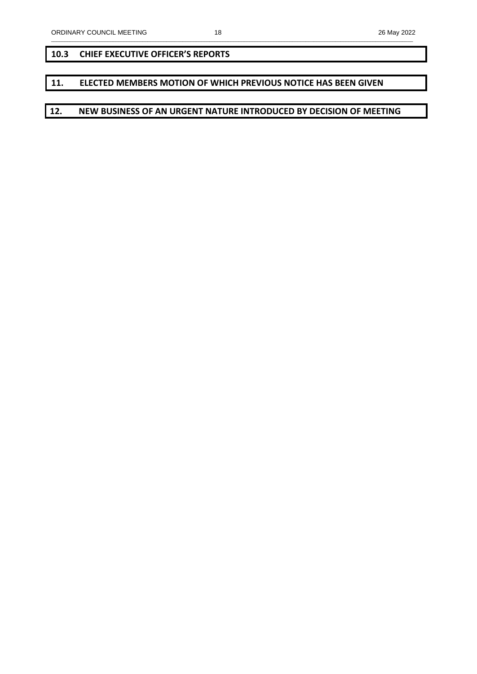## **10.3 CHIEF EXECUTIVE OFFICER'S REPORTS**

## **11. ELECTED MEMBERS MOTION OF WHICH PREVIOUS NOTICE HAS BEEN GIVEN**

## **12. NEW BUSINESS OF AN URGENT NATURE INTRODUCED BY DECISION OF MEETING**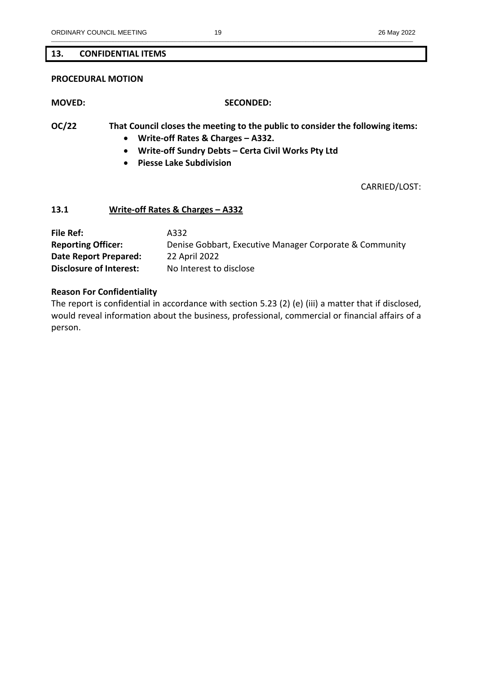## **13. CONFIDENTIAL ITEMS**

#### **PROCEDURAL MOTION**

#### **MOVED: SECONDED:**

**OC/22 That Council closes the meeting to the public to consider the following items:** 

- **Write-off Rates & Charges A332.**
- **Write-off Sundry Debts Certa Civil Works Pty Ltd**
- **Piesse Lake Subdivision**

CARRIED/LOST:

### **13.1 Write-off Rates & Charges – A332**

| File Ref:                      | A332                                                    |
|--------------------------------|---------------------------------------------------------|
| <b>Reporting Officer:</b>      | Denise Gobbart, Executive Manager Corporate & Community |
| Date Report Prepared:          | 22 April 2022                                           |
| <b>Disclosure of Interest:</b> | No Interest to disclose                                 |

#### **Reason For Confidentiality**

The report is confidential in accordance with section 5.23 (2) (e) (iii) a matter that if disclosed, would reveal information about the business, professional, commercial or financial affairs of a person.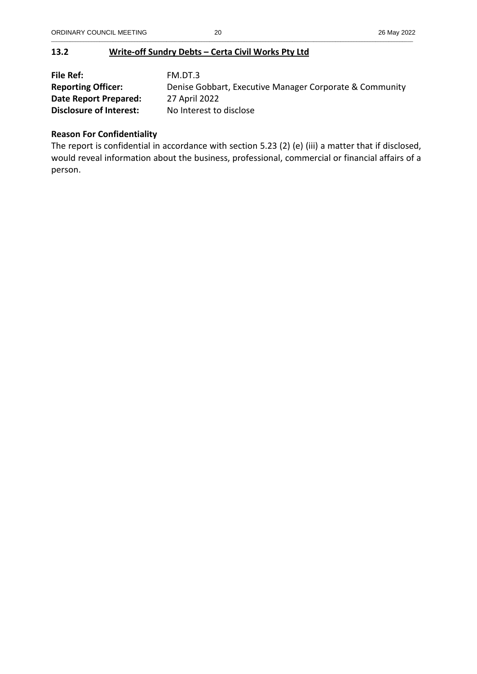# **13.2 Write-off Sundry Debts – Certa Civil Works Pty Ltd**

| File Ref:                      | FM.DT.3                                                 |
|--------------------------------|---------------------------------------------------------|
| <b>Reporting Officer:</b>      | Denise Gobbart, Executive Manager Corporate & Community |
| Date Report Prepared:          | 27 April 2022                                           |
| <b>Disclosure of Interest:</b> | No Interest to disclose                                 |

# **Reason For Confidentiality**

The report is confidential in accordance with section 5.23 (2) (e) (iii) a matter that if disclosed, would reveal information about the business, professional, commercial or financial affairs of a person.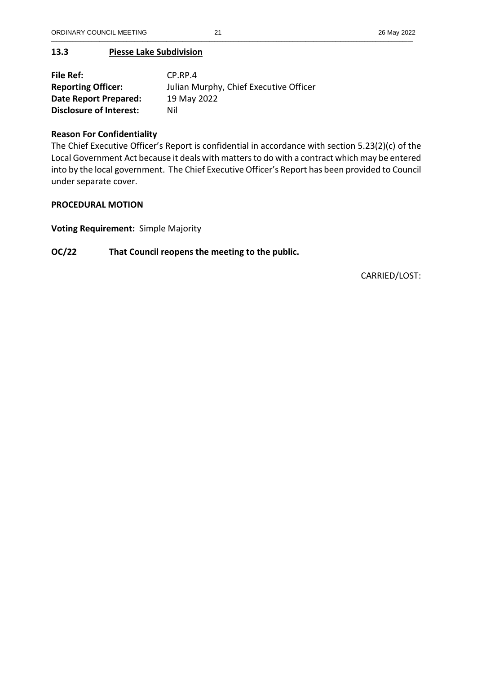# **13.3 Piesse Lake Subdivision**

| File Ref:                      | $CP$ .RP.4                             |
|--------------------------------|----------------------------------------|
| <b>Reporting Officer:</b>      | Julian Murphy, Chief Executive Officer |
| Date Report Prepared:          | 19 May 2022                            |
| <b>Disclosure of Interest:</b> | Nil                                    |

# **Reason For Confidentiality**

The Chief Executive Officer's Report is confidential in accordance with section 5.23(2)(c) of the Local Government Act because it deals with matters to do with a contract which may be entered into by the local government. The Chief Executive Officer's Report has been provided to Council under separate cover.

# **PROCEDURAL MOTION**

**Voting Requirement:** Simple Majority

# **OC/22 That Council reopens the meeting to the public.**